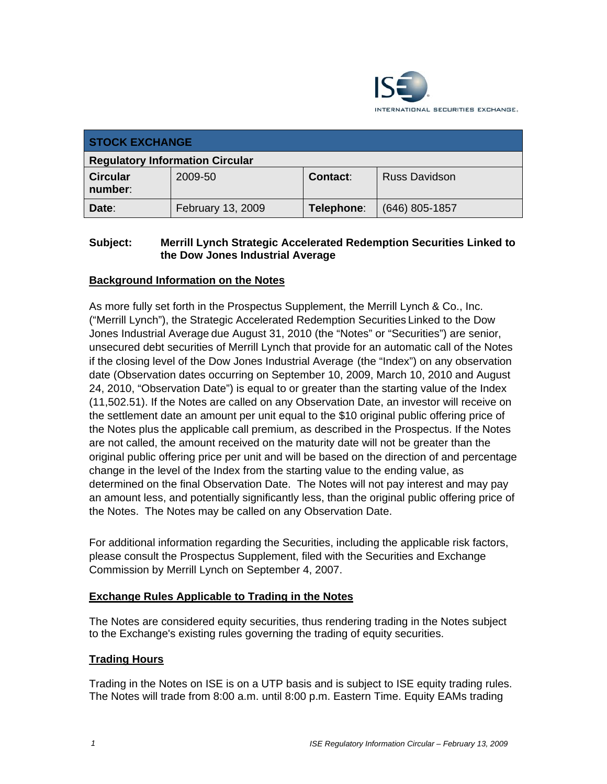

| <b>STOCK EXCHANGE</b>                  |                   |            |                      |
|----------------------------------------|-------------------|------------|----------------------|
| <b>Regulatory Information Circular</b> |                   |            |                      |
| <b>Circular</b><br>number:             | 2009-50           | Contact:   | <b>Russ Davidson</b> |
| Date:                                  | February 13, 2009 | Telephone: | $(646)$ 805-1857     |

# **Subject: Merrill Lynch Strategic Accelerated Redemption Securities Linked to the Dow Jones Industrial Average**

# **Background Information on the Notes**

As more fully set forth in the Prospectus Supplement, the Merrill Lynch & Co., Inc. ("Merrill Lynch"), the Strategic Accelerated Redemption Securities Linked to the Dow Jones Industrial Average due August 31, 2010 (the "Notes" or "Securities") are senior, unsecured debt securities of Merrill Lynch that provide for an automatic call of the Notes if the closing level of the Dow Jones Industrial Average (the "Index") on any observation date (Observation dates occurring on September 10, 2009, March 10, 2010 and August 24, 2010, "Observation Date") is equal to or greater than the starting value of the Index (11,502.51). If the Notes are called on any Observation Date, an investor will receive on the settlement date an amount per unit equal to the \$10 original public offering price of the Notes plus the applicable call premium, as described in the Prospectus. If the Notes are not called, the amount received on the maturity date will not be greater than the original public offering price per unit and will be based on the direction of and percentage change in the level of the Index from the starting value to the ending value, as determined on the final Observation Date. The Notes will not pay interest and may pay an amount less, and potentially significantly less, than the original public offering price of the Notes. The Notes may be called on any Observation Date.

For additional information regarding the Securities, including the applicable risk factors, please consult the Prospectus Supplement, filed with the Securities and Exchange Commission by Merrill Lynch on September 4, 2007.

#### **Exchange Rules Applicable to Trading in the Notes**

The Notes are considered equity securities, thus rendering trading in the Notes subject to the Exchange's existing rules governing the trading of equity securities.

#### **Trading Hours**

Trading in the Notes on ISE is on a UTP basis and is subject to ISE equity trading rules. The Notes will trade from 8:00 a.m. until 8:00 p.m. Eastern Time. Equity EAMs trading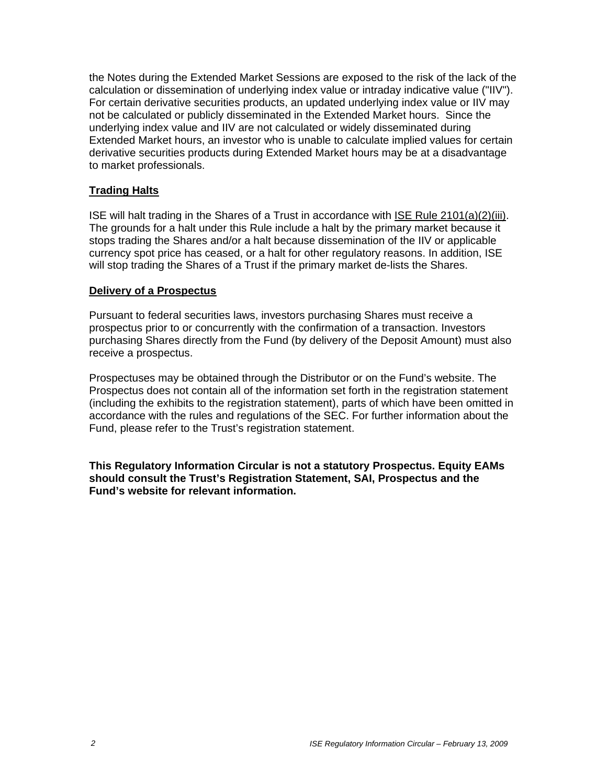the Notes during the Extended Market Sessions are exposed to the risk of the lack of the calculation or dissemination of underlying index value or intraday indicative value ("IIV"). For certain derivative securities products, an updated underlying index value or IIV may not be calculated or publicly disseminated in the Extended Market hours. Since the underlying index value and IIV are not calculated or widely disseminated during Extended Market hours, an investor who is unable to calculate implied values for certain derivative securities products during Extended Market hours may be at a disadvantage to market professionals.

# **Trading Halts**

ISE will halt trading in the Shares of a Trust in accordance with ISE Rule 2101(a)(2)(iii). The grounds for a halt under this Rule include a halt by the primary market because it stops trading the Shares and/or a halt because dissemination of the IIV or applicable currency spot price has ceased, or a halt for other regulatory reasons. In addition, ISE will stop trading the Shares of a Trust if the primary market de-lists the Shares.

#### **Delivery of a Prospectus**

Pursuant to federal securities laws, investors purchasing Shares must receive a prospectus prior to or concurrently with the confirmation of a transaction. Investors purchasing Shares directly from the Fund (by delivery of the Deposit Amount) must also receive a prospectus.

Prospectuses may be obtained through the Distributor or on the Fund's website. The Prospectus does not contain all of the information set forth in the registration statement (including the exhibits to the registration statement), parts of which have been omitted in accordance with the rules and regulations of the SEC. For further information about the Fund, please refer to the Trust's registration statement.

**This Regulatory Information Circular is not a statutory Prospectus. Equity EAMs should consult the Trust's Registration Statement, SAI, Prospectus and the Fund's website for relevant information.**